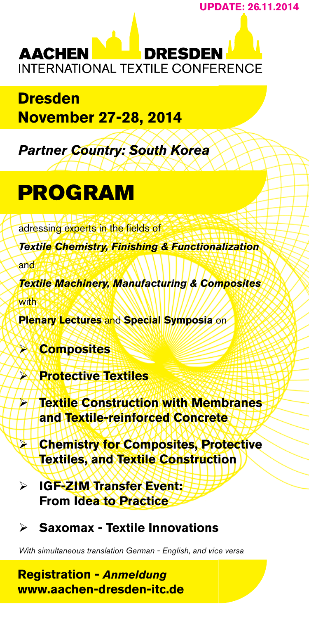**UPDaTE: 26.11.2014**

**DRESDEN AACHEN INTERNATIONAL TEXTILE CONFERENCE** 

**Dresden November 27-28, 2014**

*Partner Country: South Korea*

# PROGRAM

adressing experts in the fields of

*Textile Chemistry, Finishing & Functionalization*

and

*Textile Machinery, Manufacturing & Composites* with

**Plenary Lectures** and **Special Symposia** on

¾ **Composites**

¾ **Protective Textiles**

¾ **Textile Construction with Membranes and Textile-reinforced Concrete**

¾ **Chemistry for Composites, Protective Textiles, and Textile Construction**

¾ **IGF-ZIM Transfer Event: From Idea to Practice**

¾ **Saxomax - Textile Innovations**

*With simultaneous translation German - English, and vice versa*

**Registration -** *Anmeldung* **www.aachen-dresden-itc.de**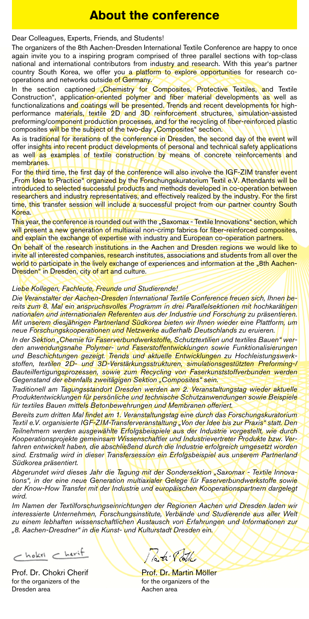### **About the conference**

Dear Colleagues, Experts, Friends, and Students!

The organizers of the 8th Aachen-Dresden International Textile Conference are happy to once again invite you to a inspiring program comprised of three parallel sections with top-class national and international contributors from industry and research. With this year's partner country South Korea, we offer you a **platform to explore opportunities** for research cooperations and networks outside of Germany.

In the section captioned "Chemistry for Composites, Protective Textiles, and Textile<br>Construction", applic<mark>ation-oriented polymer and fiber material developments as w</mark>ell as functionalizations and coatings will be presented. Trends and recent developments for highperformance materials, textile 2D and 3D reinforcement structures, simulation-assisted preforming/component production processes, and for the recycling of fiber-reinforced plastic composites will be the subject of the two-day "Composites" section.

As is traditional for iterations of the conference in Dresden, the second day of the event will offer insights into recent product developments of personal and technical safety applications as well as examples of textile construction by means of concrete reinforcements and membranes.

For the third time, the first day of the conference will also involve the IGF-ZIM transfer event "From Idea to Practice" organized by the Forschungskuratorium Textil e.V. Attendants will be introduced to selected successful products and methods developed in co-operation between researchers and industry representatives, and effectively realized by the industry. For the first time, this transfer session will include a successful project from our partner country South Korea.

This year, the conference is rounded out with the "Saxomax - Textile Innovations" section, which will present a new generation of multiaxial non-crimp fabrics for fiber-reinforced composites, and explain the exchange of expertise with industry and European co-operation partners.

On behalf of the research institutions in the Aachen and Dresden regions we would like to invite all interested companies, research institutes, associations and students from all over the world to participate in the lively exchange of experiences and information at the "8th Aachen-Dresden" in Dresden, city of art and culture.

#### *Liebe Kollegen, Fachleute, Freunde und Studierende!*

*Die Veranstalter der Aachen-Dresden International Textile Conference freuen sich, Ihnen bereits zum 8. Mal ein anspruchsvolles Programm in drei Parallelsektionen mit hochkarätigen nationalen und internationalen Referenten aus der Industrie und Forschung zu präsentieren. Mit unserem diesjährigen Partnerland Südkorea bieten wir Ihnen wieder eine Plattform, um neue Forschungskooperationen und Netzwerke außerhalb Deutschlands zu eruieren.* 

*In der Sektion "Chemie für Faserverbundwerkstoffe, Schutztextilien und textiles Bauen" werden anwendungsnahe Polymer- und Faserstoffentwicklungen sowie Funktionalisierungen und Beschichtungen gezeigt. Trends und aktuelle Entwicklungen zu Hochleistungswerkstoffen, textilen 2D- und 3D-Verstärkungsstrukturen, simulationsgestützten Preforming-/ Bauteilfertigungsprozessen, sowie zum Recycling von Faserkunststoffverbunden werden Gegenstand der ebenfalls zweitägigen Sektion "Composites" sein.*

*Traditionell am Tagungsstandort Dresden werden am 2. Veranstaltungstag wieder aktuelle Produktentwicklungen für persönliche und technische Schutzanwendungen sowie Beispiele für textiles Bauen mittels Betonbewehrungen und Membranen offeriert.*

*Bereits zum dritten Mal findet am 1. Veranstaltungstag eine durch das Forschungskuratorium Textil e.V. organisierte IGF-ZIM-Transferveranstaltung "Von der Idee bis zur Praxis" statt. Den Teilnehmern werden ausgewählte Erfolgsbeispiele aus der Industrie vorgestellt, wie durch Kooperationsprojekte gemeinsam Wissenschaftler und Industrievertreter Produkte bzw. Verfahren entwickelt haben, die abschließend durch die Industrie erfolgreich umgesetzt worden sind. Erstmalig wird in dieser Transfersession ein Erfolgsbeispiel aus unserem Partnerland Südkorea präsentiert.*

Abgerundet wird dieses Jahr die Tagung mit der Sondersektion "Saxomax - Textile Innova*tions", in der eine neue Generation multiaxialer Gelege für Faserverbundwerkstoffe sowie der Know-How Transfer mit der Industrie und europäischen Kooperationspartnern dargelegt wird.*

*Im Namen der Textilforschungseinrichtungen der Regionen Aachen und Dresden laden wir interessierte Unternehmen, Forschungsinstitute, Verbände und Studierende aus aller Welt zu einem lebhaften wissenschaftlichen Austausch von Erfahrungen und Informationen zur "8. Aachen-Dresdner" in die Kunst- und Kulturstadt Dresden ein.* 

 $r -$  hokri  $r +$ 

Prof. Dr. Chokri Cherif Prof. Dr. Martin Möller for the organizers of the for the organizers of the Dresden area Aachen area

Pati Pott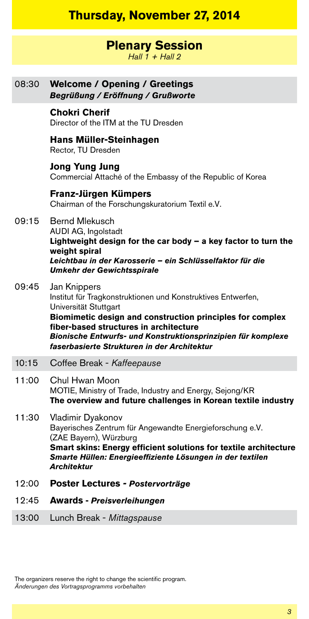## **Thursday, November 27, 2014**

### **Plenary Session**

*Hall 1 + Hall 2*

| 08:30 | <b>Welcome / Opening / Greetings</b><br>Begrüßung / Eröffnung / Grußworte                                                                                                                                                                                                                                                   |
|-------|-----------------------------------------------------------------------------------------------------------------------------------------------------------------------------------------------------------------------------------------------------------------------------------------------------------------------------|
|       | <b>Chokri Cherif</b><br>Director of the ITM at the TU Dresden                                                                                                                                                                                                                                                               |
|       | Hans Müller-Steinhagen<br>Rector, TU Dresden                                                                                                                                                                                                                                                                                |
|       | <b>Jong Yung Jung</b><br>Commercial Attaché of the Embassy of the Republic of Korea                                                                                                                                                                                                                                         |
|       | Franz-Jürgen Kümpers<br>Chairman of the Forschungskuratorium Textil e.V.                                                                                                                                                                                                                                                    |
| 09:15 | <b>Bernd Mlekusch</b><br>AUDI AG, Ingolstadt<br>Lightweight design for the car body - a key factor to turn the<br>weight spiral<br>Leichtbau in der Karosserie - ein Schlüsselfaktor für die<br><b>Umkehr der Gewichtsspirale</b>                                                                                           |
| 09:45 | Jan Knippers<br>Institut für Tragkonstruktionen und Konstruktives Entwerfen,<br>Universität Stuttgart<br>Biomimetic design and construction principles for complex<br>fiber-based structures in architecture<br>Bionische Entwurfs- und Konstruktionsprinzipien für komplexe<br>faserbasierte Strukturen in der Architektur |
| 10:15 | Coffee Break - Kaffeepause                                                                                                                                                                                                                                                                                                  |
| 11:00 | Chul Hwan Moon<br>MOTIE, Ministry of Trade, Industry and Energy, Sejong/KR<br>The overview and future challenges in Korean textile industry                                                                                                                                                                                 |
| 11:30 | Vladimir Dyakonov<br>Bayerisches Zentrum für Angewandte Energieforschung e.V.<br>(ZAE Bayern), Würzburg<br>Smart skins: Energy efficient solutions for textile architecture<br>Smarte Hüllen: Energieeffiziente Lösungen in der textilen<br><b>Architektur</b>                                                              |
| 12:00 | Poster Lectures - Postervorträge                                                                                                                                                                                                                                                                                            |
| 12:45 | <b>Awards - Preisverleihungen</b>                                                                                                                                                                                                                                                                                           |

13:00 Lunch Break - *Mittagspause*

The organizers reserve the right to change the scientific program. *Änderungen des Vortragsprogramms vorbehalten*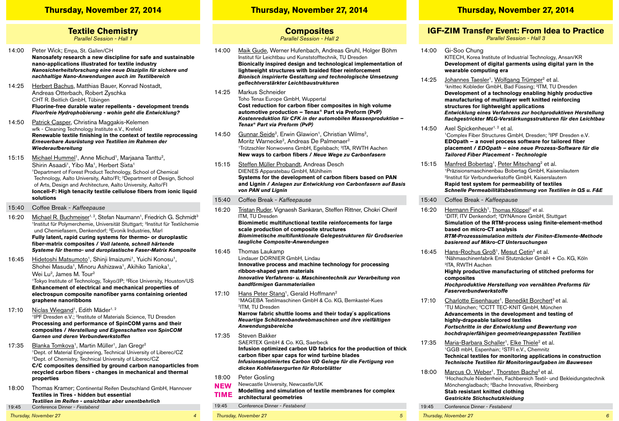#### **Thursday, November 27, 2014 Thursday, November 27, 2014 Thursday, November 27, 2014**

## **Textile Chemistry**

*Parallel Session - Hall 1*

- 14:00 Peter Wick; Empa, St. Gallen/CH **Nanosafety research a new discipline for safe and sustainable nano-applications illustrated for textile industry** *Nanosicherheitsforschung eine neue Disziplin für sichere und nachhaltige Nano-Anwendungen auch im Textilbereich*
- 14:25 Herbert Bachus, Matthias Bauer, Konrad Nostadt, Andreas Otterbach, Robert Zyschka CHT R. Beitlich GmbH, Tübingen **Fluorine-free durable water repellents - development trends**  *Fluorfreie Hydrophobierung - wohin geht die Entwicklung?*
- 14:50 Patrick Casper, Christina Maggakis-Kelemen wfk - Cleaning Technology Institute e.V., Krefeld **Renewable textile finishing in the context of textile reprocessing**  *Erneuerbare Ausrüstung von Textilien im Rahmen der Wiederaufbereitung*
- 15:15 Michael Hummel<sup>1</sup>, Anne Michud<sup>1</sup>, Marjaana Tanttu<sup>2</sup>, Shirin Asaadi<sup>1</sup>, Yibo Ma<sup>1</sup>, Herbert Sixta<sup>1</sup> 1Department of Forest Product Technology, School of Chemical Technology, Aalto University, Aalto/FI; <sup>2</sup>Department of Design, School of Arts, Design and Architecture, Aalto University, Aalto/FI **Ioncell-F: High tenacity textile cellulose fibers from ionic liquid solutions**
- 15:40 Coffee Break *Kaffeepause*
- 16:20 Michael R. Buchmeiser<sup>1, 2</sup>, Stefan Naumann<sup>1</sup>, Friedrich G. Schmidt<sup>3</sup> <sup>1</sup>Institut für Polymerchemie, Universität Stuttgart; <sup>2</sup>Institut für Textilchemie und Chemiefasern, Denkendorf; 3Evonik Industries, Marl **Fully latent, rapid curing systems for thermo- or duroplastic fiber-matrix composites /** *Voll latente, schnell härtende Systeme für thermo- und duroplastische Faser-Matrix Komposite*
- 16:45 Hidetoshi Matsumoto<sup>1</sup>, Shinji Imaizumi<sup>1</sup>, Yuichi Konosu<sup>1</sup>, Shohei Masuda<sup>1</sup>, Minoru Ashizawa<sup>1</sup>, Akihiko Tanioka<sup>1</sup>, Wei Lu<sup>2</sup>, James M. Tour<sup>2</sup> 1Tokyo Institute of Technology, Tokyo/JP; 2Rice University, Houston/US **Enhancement of electrical and mechanical properties of electrospun composite nanofiber yarns containing oriented graphene nanoribbons**
- 17:10 Niclas Wiegand<sup>1</sup>, Edith Mäder<sup>1, 2</sup> <sup>1</sup>IPF Dresden e.V.; <sup>2</sup>Institute of Materials Science, TU Dresden **Processing and performance of SpinCOM yarns and their composites /** *Herstellung und Eigenschaften von SpinCOM Garnen und deren Verbundwerkstoffen*
- 17:35 Blanka Tomkova<sup>1</sup>, Martin Müller<sup>1</sup>, Jan Gregr<sup>2</sup> 1Dept. of Material Engineering, Technical University of Liberec/CZ 2Dept. of Chemistry, Technical University of Liberec/CZ **C/C composites densified by ground carbon nanoparticles from recycled carbon fibers - changes in mechanical and thermal properties**
- 18:00 Thomas Kramer; Continental Reifen Deutschland GmbH, Hannover **Textiles in Tires - hidden but essential** *Textilien im Reifen - unsichtbar aber unentbehrlich* 19:45 Conference Dinner - *Festabend*

*Thursday, November 27 4*

### **Composites**

*Parallel Session - Hall 2*

- 14:00 Maik Gude, Werner Hufenbach, Andreas Gruhl, Holger Böhm Institut für Leichtbau und Kunststofftechnik, TU Dresden **Bionically inspired design and technological implementation of lightweight structures with braided fiber reinforcement** *Bionisch inspirierte Gestaltung und technologische Umsetzung geflechtverstärkter Leichtbaustrukturen*
- 14:25 Markus Schneider Toho Tenax Europe GmbH, Wuppertal **Cost reduction for carbon fiber composites in high volume automotive production – Tenax® Part via Preform (PvP)** *Kostenreduktion für CFK in der automobilen Massenproduktion – Tenax® Part via Preform (PvP)*
- 14:50 Gunnar Seide<sup>2</sup>, Erwin Glawion<sup>1</sup>, Christian Wilms<sup>2</sup>, Moritz Warnecke<sup>2</sup>, Andreas De Palmenaer<sup>2</sup> 1Trützschler Nonwovens GmbH, Egelsbach; 2ITA, RWTH Aachen **New ways to carbon fibers /** *Neue Wege zu Carbonfasern*
- 15:15 Steffen Müller Probandt, Andreas Desch DIENES Apparatebau GmbH, Mühlheim **Systems for the development of carbon fibers based on PAN and Lignin /** *Anlagen zur Entwicklung von Carbonfasern auf Basis von PAN und Lignin*
- 15:40 Coffee Break *Kaffeepause*
- 16:20 Tristan Ruder, Vignaesh Sankaran, Steffen Rittner, Chokri Cherif ITM, TU Dresden **Biomimetic multifunctional textile reinforcements for large scale production of composite structures** *Biomimetische multifunktionale Gelegestrukturen für Großserien taugliche Composite-Anwendungen* 16:45 Thomas Laukamp
	- Lindauer DORNIER GmbH, Lindau **Innovative process and machine technology for processing ribbon-shaped yarn materials**  *Innovative Verfahrens- u. Maschinentechnik zur Verarbeitung von bandförmigen Garnmaterialien*
- 17:10 Hans Peter Stang<sup>1</sup>, Gerald Hoffmann<sup>2</sup> 1MAGEBA Textilmaschinen GmbH & Co. KG, Bernkastel-Kues 2ITM, TU Dresden **Narrow fabric shuttle looms and their today´s applications** *Neuartige Schützenbandwebmaschinen und ihre vielfältigen Anwendungsbereiche*
- 17:35 Steven Bakker SAERTEX GmbH & Co. KG, Saerbeck **Infusion optimized carbon UD fabrics for the production of thick carbon fiber spar caps for wind turbine blades** *Infusionsoptimiertes Carbon UD Gelege für die Fertigung von dicken Kohlefasergurten für Rotorblätter*
- 18:00 Peter Gosling
- Newcastle University, Newcastle/UK **NeW**
- **Modelling and simulation of textile membranes for complex architectural geometries Time**
- 19:45 Conference Dinner *Festabend*
- 

## **IGF-ZIM Transfer Event: From Idea to Practice**

*Parallel Session - Hall 3*

- 14:00 Gi-Soo Chung KITECH, Korea Institute of Industrial Technology, Ansan/KR **Development of digital garments using digital yarn in the wearable computing era**
- 14:25 Johannes Taesler<sup>1</sup>, Wolfgang Trümper<sup>2</sup> et al. 1knittec Kobleder GmbH, Bad Füssing; 2ITM, TU Dresden **Development of a technology enabling highly productive manufacturing of multilayer weft knitted reinforcing structures for lightweight applications** *Entwicklung eines Verfahrens zur hochproduktiven Herstellung flachgestrickter MLG-Verstärkungsstrukturen für den Leichtbau*
- 14:50 Axel Spickenheuer<sup>1, 2</sup> et al. <sup>1</sup>Complex Fiber Structures GmbH, Dresden; <sup>2</sup>IPF Dresden e.V. **EDOpath – a novel process software for tailored fiber placement /** *EDOpath – eine neue Prozess-Software für die Tailored Fiber Placement - Technologie*
- 15:15 Manfred Bobertag<sup>1</sup>, Peter Mitschang<sup>2</sup> et al.<br><sup>1</sup>Präzisionsmaschinenbau Bobertag GmbH, Kaiserslautern 2Institut für Verbundwerkstoffe GmbH, Kaiserslautern **Rapid test system for permeability of textiles** *Schnelle Permeabilitätsbestimmung von Textilien in QS u. F&E*
- 15:40 Coffee Break *Kaffeepause*
- 16:20 Hermann Finckh<sup>1</sup>, Thomas Klöppel<sup>2</sup> et al. 1DITF, ITV Denkendorf; 2DYNAmore GmbH, Stuttgart **Simulation of the RTM-process using finite-element-method based on micro-CT analysis**  *RTM-Prozesssimulation mittels der Finiten-Elemente-Methode basierend auf Mikro-CT Untersuchungen*
- 16:45 Hans-Rochus Groß<sup>1</sup>, Mesut Cetin<sup>2</sup> et al. 1Nähmaschinenfabrik Emil Stutznäcker GmbH + Co. KG, Köln 2ITA, RWTH Aachen **Highly productive manufacturing of stitched preforms for composites** *Hochproduktive Herstellung von vernähten Preforms für Faserverbundwerkstoffe*
- 17:10 Charlotte Eisenhauer<sup>1</sup>, Benedikt Borchert<sup>2</sup> et al. 1TU München; 2CCTT TEC-KNIT GmbH, München **Advancements in the development and testing of highly-drapeable tailored textiles** *Fortschritte in der Entwicklung und Bewertung von hochdrapierfähigen geometrieangepassten Textilien*
- 17:35 Maria-Barbara Schaller<sup>1</sup>, Elke Thiele<sup>2</sup> et al.<br><sup>1</sup>GGB mbH, Espenhain: <sup>2</sup>STFI e.V., Chemnitz **Technical textiles for monitoring applications in construction** *Technische Textilien für Monitoringaufgaben im Bauwesen*
- 18:00 Marcus O. Weber<sup>1</sup>, Thorsten Bache<sup>2</sup> et al. 1Hochschule Niederrhein, Fachbereich Textil- und Bekleidungstechnik Mönchengladbach; 2Bache Innovative, Rheinberg **Stab resistant knitted clothing** *Gestrickte Stichschutzkleidung*
- 19:45 Conference Dinner *Festabend*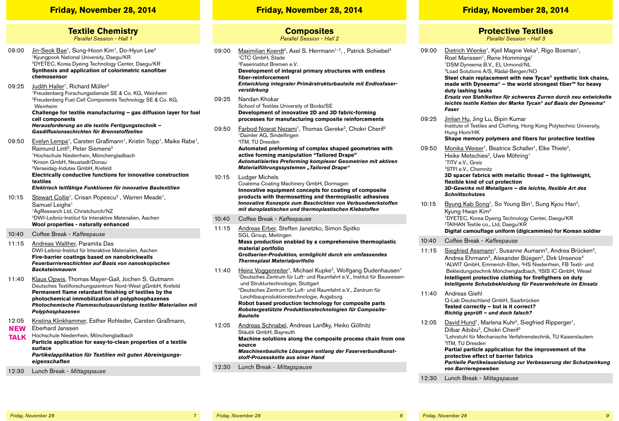#### **Friday, November 28, 2014 Friday, November 28, 2014 Friday, November 28, 2014**

**Textile Chemistry** *Parallel Session - Hall 1*

- 09:00 Jin-Seok Bae<sup>1</sup>, Sung-Hoon Kim<sup>1</sup>, Do-Hyun Lee<sup>2</sup> 1Kyungpook National University, Daegu/KR 2DYETEC, Korea Dyeing Technology Center, Daegu/KR **Synthesis and application of colorimetric nanofiber chemosensor**
- 09:25 Judith Haller<sup>1</sup>, Richard Müller<sup>2</sup> 1Freudenberg Forschungsdienste SE & Co. KG, Weinheim 2Freudenberg Fuel Cell Components Technology SE & Co. KG, Weinheim **Challenge for textile manufacturing – gas diffusion layer for fuel**

**cell components** *Herausforderung an die textile Fertigungstechnik – Gasdiffusionsschichten für Brennstoffzellen*

09:50 Evelyn Lempa<sup>1</sup>, Carsten Graßmann<sup>1</sup>, Kristin Topp<sup>1</sup>, Maike Rabe<sup>1</sup>, Raimund Lintl<sup>2</sup>, Peter Siemens<sup>3</sup> 1Hochschule Niederrhein, Mönchengladbach 2Kirson GmbH, Neustadt/Donau 3Verseidag-Indutex GmbH, Krefeld  **Electrically conductive functions for innovative construction textiles**

 *Elektrisch leitfähige Funktionen für innovative Bautextilien*

- 10:15 Stewart Collie<sup>1</sup>, Crisan Popescu<sup>2</sup>, Warren Meade<sup>1</sup>, Samuel Leighs<sup>1</sup> 1AgResearch Ltd, Christchurch/NZ 2DWI-Leibniz-Institut für Interaktive Materialien, Aachen **Wool properties - naturally enhanced**
- 10:40 Coffee Break *Kaffeepause*
- 11:15 Andreas Walther, Paramita Das DWI-Leibniz-Institut für Interaktive Materialien, Aachen **Fire-barrier coatings based on nanobrickwalls** *Feuerbarriereschichten auf Basis von nanoskopischen Backsteinmauern*
- 11:40 Klaus Opwis, Thomas Mayer-Gall, Jochen S. Gutmann Deutsches Textilforschungszentrum Nord-West gGmbH, Krefeld **Permanent flame retardant finishing of textiles by the photochemical immobilization of polyphosphazenes** *Photochemische Flammschutzausrüstung textiler Materialien mit Polyphosphazenen*
- 12:05 Kristina Klinkhammer, Esther Rohleder, Carsten Graßmann, Eberhard Janssen **NeW**
- Hochschule Niederrhein, Mönchengladbach **Particle application for easy-to-clean properties of a textile surface** *Partikelapplikation für Textilien mit guten Abreinigungseigenschaften* **Talk**
- 12:30 Lunch Break *Mittagspause*

## **Composites**

*Parallel Session - Hall 2*

| 09:00 | Maximilian Koerdt <sup>2</sup> , Axel S. Herrmann <sup>1, 2</sup> , , Patrick Schiebel <sup>2</sup><br><sup>1</sup> CTC GmbH. Stade<br><sup>2</sup> Faserinstitut Bremen e.V.<br>Development of integral primary structures with endless<br>fiber-reinforcement<br>Entwicklung integraler Primärstrukturbauteile mit Endlosfaser-<br>verstärkung                                                                                                                                               |
|-------|------------------------------------------------------------------------------------------------------------------------------------------------------------------------------------------------------------------------------------------------------------------------------------------------------------------------------------------------------------------------------------------------------------------------------------------------------------------------------------------------|
| 09:25 | Nandan Khokar<br>School of Textiles University of Borås/SE<br>Development of innovative 2D and 3D fabric-forming<br>processes for manufacturing composite reinforcements                                                                                                                                                                                                                                                                                                                       |
| 09:50 | Farbod Nosrat Nezami <sup>1</sup> , Thomas Gereke <sup>2</sup> , Chokri Cherif <sup>2</sup><br><sup>1</sup> Daimler AG, Sindelfingen<br><sup>2</sup> ITM, TU Dresden<br>Automated preforming of complex shaped geometries with<br>active forming manipulation "Tailored Drape"<br>Automatisiertes Preforming komplexer Geometrien mit aktiven<br>Materialführungssystemen "Tailored Drape"                                                                                                     |
| 10:15 | Ludger Michels<br>Coatema Coating Machinery GmbH, Dormagen<br>Innovative equipment concepts for coating of composite<br>products with thermosetting and thermoplastic adhesives<br>Innovative Konzepte zum Beschichten von Verbundwerkstoffen<br>mit duroplastischen und thermoplastischen Klebstoffen                                                                                                                                                                                         |
| 10:40 | Coffee Break - Kaffeepause                                                                                                                                                                                                                                                                                                                                                                                                                                                                     |
| 11:15 | Andreas Erber, Steffen Janetzko, Simon Spitko<br>SGL Group, Meitingen<br>Mass production enabled by a comprehensive thermoplastic<br>material portfolio<br>Großserien-Produktion, ermöglicht durch ein umfassendes<br>Thermoplast Materialportfolio                                                                                                                                                                                                                                            |
| 11:40 | Heinz Voggenreiter <sup>1</sup> , Michael Kupke <sup>2</sup> , Wolfgang Dudenhausen <sup>1</sup><br><sup>1</sup> Deutsches Zentrum für Luft- und Raumfahrt e.V., Institut für Bauweisen-<br>und Strukturtechnologie, Stuttgart<br><sup>2</sup> Deutsches Zentrum für Luft- und Raumfahrt e.V., Zentrum für<br>Leichtbauproduktionstechnologie, Augsburg<br>Robot based production technology for composite parts<br>Robotergestützte Produktionstechnologien für Composite-<br><b>Bauteile</b> |
| 12:05 | Andreas Schnabel, Andreas Lanßky, Heiko Göllnitz<br>Stäubli GmbH, Bayreuth<br>Machine solutions along the composite process chain from one<br>source<br>Maschinenbauliche Lösungen entlang der Faserverbundkunst-<br>stoff-Prozesskette aus einer Hand                                                                                                                                                                                                                                         |
|       |                                                                                                                                                                                                                                                                                                                                                                                                                                                                                                |

### **Protective Textiles**

*Parallel Session - Hall 3*

09:00 Dietrich Wienke<sup>1</sup>, Kiell Magne Veka<sup>2</sup>, Rigo Bosman<sup>1</sup>, Roel Marissen<sup>1</sup>, Rene Homminga<sup>1</sup> 1DSM Dyneema B.V., EL Urmond/NL 2Load Solutions A/S, Rådal-Bergen/NO **Steel chain replacement with new Tycan® synthetic link chains, made with Dyneema® – the world strongest fiber™ for heavy duty lashing tasks** *Ersatz von Stahlketten für schweres Zurren durch neu entwickelte leichte textile Ketten der Marke Tycan® auf Basis der Dyneema® Faser* 09:25 Jinlian Hu, Jing Lu, Bipin Kumar Institute of Textiles and Clothing, Hong Kong Polytechnic University, Hung Hom/HK **Shape memory polymers and fibers for protective textiles** 09:50 Monika Weiser<sup>1</sup>, Beatrice Schaller<sup>1</sup>, Elke Thiele<sup>2</sup>, Heike Metschies<sup>2</sup>, Uwe Möhring<sup>1</sup> 1TITV e.V., Greiz 2STFI e.V., Chemnitz **3D spacer fabrics with metallic thread – the lightweight, flexible kind of cut protection** *3D-Gewirke mit Metallgarn – die leichte, flexible Art des Schnittschutzes* 10:15 Byung Kab Song<sup>1</sup>, So Young Bin<sup>1</sup>, Sung Kyou Han<sup>2</sup>, Kyung Hwan Kim2 1DYETEC, Korea Dyeing Technology Center, Daegu/KR 2TAIHAN Textile co., Ltd, Daegu/KR **Digital camouflage uniform (digicammies) for Korean soldier** 10:40 Coffee Break - *Kaffeepause* 11:15 Siegfried Assmann<sup>1</sup>, Susanne Aumann<sup>2</sup>, Andrea Brücken<sup>2</sup>, Andrea Ehrmann<sup>2</sup>, Alexander Büsgen<sup>2</sup>, Dirk Unsenos<sup>3</sup> 1ALWIT GmbH, Emmerich-Elten, 2HS Niederrhein, FB Textil- und Bekleidungstechnik Mönchengladbach, 3ISIS IC GmbH, Wesel **Intelligent protective clothing for firefigthers on duty** *Intelligente Schutzbekleidung für Feuerwehrleute im Einsatz* 11:40 Andreas Giehl Q-Lab Deutschland GmbH, Saarbrücken **Tested correctly – but is it correct?** *Richtig geprüft – und doch falsch?* 12:05 David Hund<sup>1</sup>, Marlena Kuhr<sup>2</sup>, Siegfried Ripperger<sup>1</sup>, Dilbar Aibibu<sup>2</sup>, Chokri Cherif<sup>2</sup> 1Lehrstuhl für Mechanische Verfahrenstechnik, TU Kaiserslautern 2ITM, TU Dresden **Partial particle application for the improvement of the** 

**protective effect of barrier fabrics** *Partielle Partikelausrüstung zur Verbesserung der Schutzwirkung von Barrieregeweben*

12:30 Lunch Break - *Mittagspause*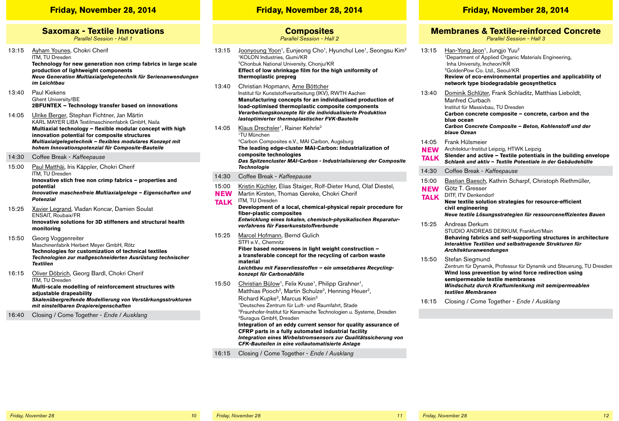#### **Friday, November 28, 2014 Friday, November 28, 2014 Friday, November 28, 2014**

## **Saxomax - Textile Innovations**

*Parallel Session - Hall 1*

- 13:15 Ayham Younes, Chokri Cherif ITM, TU Dresden **Technology for new generation non crimp fabrics in large scale production of lightweight components** *Neue Generation Multiaxialgelegetechnik für Serienanwendungen im Leichtbau*
- 13:40 Paul Kiekens Ghent University/BE **2BFUNTEX – Technology transfer based on innovations**
- 14:05 Ulrike Berger, Stephan Fichtner, Jan Märtin KARL MAYER LIBA Textilmaschinenfabrik GmbH, Naila **Multiaxial technology – flexible modular concept with high innovation potential for composite structures** *Multiaxialgelegetechnik – flexibles modulares Konzept mit hohem Innovationspotenzial für Composite-Bauteile*
- 14:30 Coffee Break *Kaffeepause*
- 15:00 Paul Matthäi, Iris Käppler, Chokri Cherif ITM, TU Dresden **Innovative stich free non crimp fabrics – properties and potential**  *Innovative maschenfreie Multiaxialgelege – Eigenschaften und Potenzial*
- 15:25 Xavier Legrand, Vladan Koncar, Damien Soulat ENSAIT, Roubaix/FR **Innovative solutions for 3D stiffeners and structural health monitoring**
- 15:50 Georg Voggenreiter Maschinenfabrik Herbert Meyer GmbH, Rötz **Technologies for customization of technical textiles** *Technologien zur maßgeschneiderten Ausrüstung technischer Textilien*
- 16:15 Oliver Döbrich, Georg Bardl, Chokri Cherif ITM, TU Dresden **Multi-scale modelling of reinforcement structures with adjustable drapeability** *Skalenübergreifende Modellierung von Verstärkungsstrukturen mit einstellbaren Drapiereigenschaften*
- 16:40 Closing / Come Together *Ende / Ausklang*

#### **Composites**

*Parallel Session - Hall 2*

- 13:15 Joonyoung Yoon<sup>1</sup>, Eunieong Cho<sup>1</sup>, Hyunchul Lee<sup>1</sup>, Seongsu Kim<sup>2</sup> 1KOLON Industries, Gumi/KR 2Chonbuk National University, Chonju/KR **Effect of low shrinkage film for the high uniformity of thermoplastic prepreg**
- 13:40 Christian Hopmann, Arne Böttcher Institut für Kunststoffverarbeitung (IKV), RWTH Aachen **Manufacturing concepts for an individualised production of load-optimised thermoplastic composite components** *Verarbeitungskonzepte für die individualisierte Produktion lastoptimierter thermoplastischer FVK-Bauteile*
- 14:05 Klaus Drechsler<sup>1</sup>, Rainer Kehrle<sup>2</sup> 1TU München 2Carbon Composites e.V., MAI Carbon, Augsburg **The leading edge-cluster MAI-Carbon: Industrialization of composite technologies** *Das Spitzencluster MAI-Carbon - Industrialisierung der Composite Technologie* 14:30 Coffee Break - *Kaffeepause* 15:00 Kristin Küchler, Elias Staiger, Rolf-Dieter Hund, Olaf Diestel,
- Martin Kirsten, Thomas Gereke, Chokri Cherif ITM, TU Dresden **Development of a local, chemical-physical repair procedure for fiber-plastic composites NeW Talk**

*Entwicklung eines lokalen, chemisch-physikalischen Reparaturverfahrens für Faserkunststoffverbunde*

15:25 Marcel Hofmann, Bernd Gulich STFI e.V., Chemnitz **Fiber based nonwovens in light weight construction** *–* **a transferable concept for the recycling of carbon waste** 

**material** *Leichtbau mit Faservliesstoffen – ein umsetzbares Recyclingkonzept für Carbonabfälle*

- 15:50 Christian Bülow<sup>1</sup>, Felix Kruse<sup>1</sup>, Philipp Grahner<sup>1</sup>, Matthias Pooch<sup>2</sup>, Martin Schulze<sup>2</sup>, Henning Heuer<sup>2</sup>, Richard Kupke3, Marcus Klein3 1Deutsches Zentrum für Luft- und Raumfahrt, Stade 2Fraunhofer-Institut für Keramische Technologien u. Systeme, Dresden 3Suragus GmbH, Dresden **Integration of an eddy current sensor for quality assurance of CFRP parts in a fully automated industrial facility** *Integration eines Wirbelstromsensors zur Qualitätssicherung von CFK-Bauteilen in eine vollautomatisierte Anlage*
- 16:15 Closing / Come Together *Ende / Ausklang*

## **Membranes & Textile-reinforced Concrete**

*Parallel Session - Hall 3*

13:15 Han-Yong Jeon<sup>1</sup>, Jungio Yuu<sup>2</sup> 1Department of Applied Organic Materials Engineering, Inha University, Incheon/KR 2GoldenPow Co. Ltd., Seoul/KR **Review of eco-environmental properties and applicability of network type biodegradable geosynthetics** 13:40 Dominik Schlüter, Frank Schladitz, Matthias Lieboldt, Manfred Curbach Institut für Massivbau, TU Dresden **Carbon concrete composite – concrete, carbon and the blue ocean** *Carbon Concrete Composite – Beton, Kohlenstoff und der blaue Ozean* 14:05 Frank Hülsmeier Architektur-Institut Leipzig, HTWK Leipzig **Slender and active – Textile potentials in the building envelope** *Schlank und aktiv – Textile Potentiale in der Gebäudehülle* 14:30 Coffee Break - *Kaffeepause* 15:00 Bastian Baesch, Kathrin Scharpf, Christoph Riethmüller, Götz T. Gresser DITF, ITV Denkendorf **New textile solution strategies for resource-efficient civil engineering** *Neue textile Lösungsstrategien für ressourceneffizientes Bauen* 15:25 Andreas Derkum STUDIO ANDREAS DERKUM, Frankfurt/Main **Behaving fabrics and self-supporting structures in architecture** *Interaktive Textilien und selbsttragende Strukturen für Architekturanwendungen* 15:50 Stefan Siegmund Zentrum für Dynamik, Professur für Dynamik und Steuerung, TU Dresden **Wind loss prevention by wind force redirection using NeW Talk NeW Talk**

**semipermeable textile membranes** *Windschutz durch Kraftumlenkung mit semipermeablen textilen Membranen*

16:15 Closing / Come Together - *Ende / Ausklang*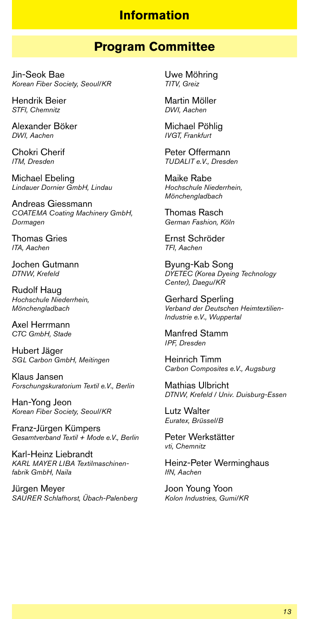#### **Information**

#### **Program Committee**

Jin-Seok Bae *Korean Fiber Society, Seoul/KR*

Hendrik Beier *STFI, Chemnitz*

Alexander Böker *DWI, Aachen*

Chokri Cherif *ITM, Dresden*

Michael Ebeling *Lindauer Dornier GmbH, Lindau*

Andreas Giessmann *COATEMA Coating Machinery GmbH, Dormagen*

Thomas Gries *ITA, Aachen*

Jochen Gutmann *DTNW, Krefeld*

Rudolf Haug *Hochschule Niederrhein, Mönchengladbach*

Axel Herrmann *CTC GmbH, Stade*

Hubert Jäger *SGL Carbon GmbH, Meitingen*

Klaus Jansen *Forschungskuratorium Textil e.V., Berlin*

Han-Yong Jeon *Korean Fiber Society, Seoul/KR*

Franz-Jürgen Kümpers *Gesamtverband Textil + Mode e.V., Berlin*

Karl-Heinz Liebrandt *KARL MAYER LIBA Textilmaschinenfabrik GmbH, Naila*

Jürgen Meyer *SAURER Schlafhorst, Übach-Palenberg* Uwe Möhring *TITV, Greiz*

Martin Möller *DWI, Aachen*

Michael Pöhlig *IVGT, Frankfurt*

Peter Offermann *TUDALIT e.V., Dresden*

Maike Rabe *Hochschule Niederrhein, Mönchengladbach*

Thomas Rasch *German Fashion, Köln*

Ernst Schröder *TFI, Aachen*

Byung-Kab Song *DYETEC (Korea Dyeing Technology Center), Daegu/KR*

Gerhard Sperling *Verband der Deutschen Heimtextilien-Industrie e.V., Wuppertal*

Manfred Stamm *IPF, Dresden*

Heinrich Timm *Carbon Composites e.V., Augsburg*

Mathias Ulbricht *DTNW, Krefeld / Univ. Duisburg-Essen*

Lutz Walter *Euratex, Brüssel/B*

Peter Werkstätter *vti, Chemnitz*

Heinz-Peter Werminghaus *IfN, Aachen*

Joon Young Yoon *Kolon Industries, Gumi/KR*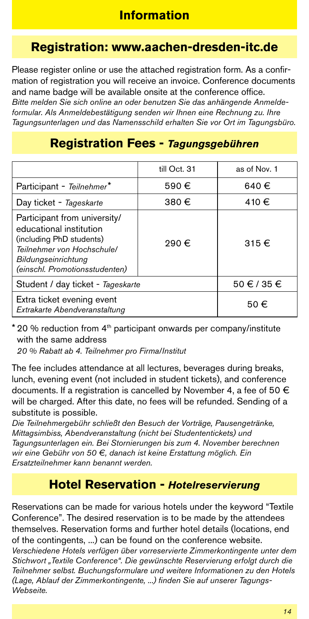## **Registration: www.aachen-dresden-itc.de**

Please register online or use the attached registration form. As a confirmation of registration you will receive an invoice. Conference documents and name badge will be available onsite at the conference office. *Bitte melden Sie sich online an oder benutzen Sie das anhängende Anmeldeformular. Als Anmeldebestätigung senden wir Ihnen eine Rechnung zu. Ihre Tagungsunterlagen und das Namensschild erhalten Sie vor Ort im Tagungsbüro.*

### **Registration Fees -** *Tagungsgebühren*

|                                                                                                                                                                            | till Oct. 31 | as of Nov. 1   |
|----------------------------------------------------------------------------------------------------------------------------------------------------------------------------|--------------|----------------|
| Participant - Teilnehmer*                                                                                                                                                  | 590€         | 640€           |
| Day ticket - Tageskarte                                                                                                                                                    | 380€         | 410 €          |
| Participant from university/<br>educational institution<br>(including PhD students)<br>Teilnehmer von Hochschule/<br>Bildungseinrichtung<br>(einschl. Promotionsstudenten) | 290€         | 315 $\epsilon$ |
| Student / day ticket - Tageskarte                                                                                                                                          | 50 € / 35 €  |                |
| Extra ticket evening event<br>Extrakarte Abendveranstaltung                                                                                                                | 50€          |                |

 $*$  20 % reduction from  $4<sup>th</sup>$  participant onwards per company/institute with the same address

*20 % Rabatt ab 4. Teilnehmer pro Firma/Institut*

The fee includes attendance at all lectures, beverages during breaks, lunch, evening event (not included in student tickets), and conference documents. If a registration is cancelled by November 4, a fee of 50  $\in$ will be charged. After this date, no fees will be refunded. Sending of a substitute is possible.

*Die Teilnehmergebühr schließt den Besuch der Vorträge, Pausengetränke, Mittagsimbiss, Abendveranstaltung (nicht bei Studententickets) und Tagungsunterlagen ein. Bei Stornierungen bis zum 4. November berechnen wir eine Gebühr von 50 €, danach ist keine Erstattung möglich. Ein Ersatzteilnehmer kann benannt werden.*

## **Hotel Reservation -** *Hotelreservierung*

Reservations can be made for various hotels under the keyword "Textile Conference". The desired reservation is to be made by the attendees themselves. Reservation forms and further hotel details (locations, end of the contingents, ...) can be found on the conference website. *Verschiedene Hotels verfügen über vorreservierte Zimmerkontingente unter dem Stichwort "Textile Conference". Die gewünschte Reservierung erfolgt durch die Teilnehmer selbst. Buchungsformulare und weitere Informationen zu den Hotels (Lage, Ablauf der Zimmerkontingente, ...) finden Sie auf unserer Tagungs-Webseite.*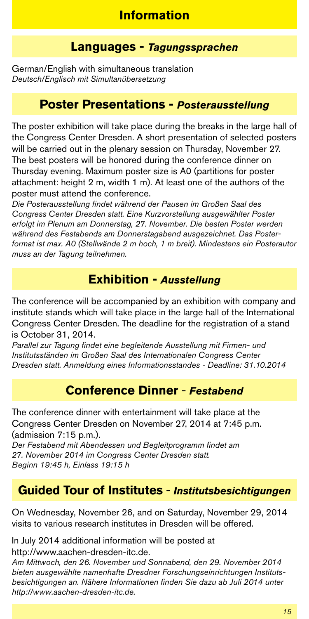### **Languages -** *Tagungssprachen*

German/English with simultaneous translation *Deutsch/Englisch mit Simultanübersetzung*

### **Poster Presentations -** *Posterausstellung*

The poster exhibition will take place during the breaks in the large hall of the Congress Center Dresden. A short presentation of selected posters will be carried out in the plenary session on Thursday, November 27. The best posters will be honored during the conference dinner on Thursday evening. Maximum poster size is A0 (partitions for poster attachment: height 2 m, width 1 m). At least one of the authors of the poster must attend the conference.

*Die Posterausstellung findet während der Pausen im Großen Saal des Congress Center Dresden statt. Eine Kurzvorstellung ausgewählter Poster erfolgt im Plenum am Donnerstag, 27. November. Die besten Poster werden während des Festabends am Donnerstagabend ausgezeichnet. Das Posterformat ist max. A0 (Stellwände 2 m hoch, 1 m breit). Mindestens ein Posterautor muss an der Tagung teilnehmen.*

## **Exhibition -** *Ausstellung*

The conference will be accompanied by an exhibition with company and institute stands which will take place in the large hall of the International Congress Center Dresden. The deadline for the registration of a stand is October 31, 2014.

*Parallel zur Tagung findet eine begleitende Ausstellung mit Firmen- und Institutsständen im Großen Saal des Internationalen Congress Center Dresden statt. Anmeldung eines Informationsstandes - Deadline: 31.10.2014*

## **Conference Dinner** - *Festabend*

The conference dinner with entertainment will take place at the Congress Center Dresden on November 27, 2014 at 7:45 p.m. (admission 7:15 p.m.).

*Der Festabend mit Abendessen und Begleitprogramm findet am 27. November 2014 im Congress Center Dresden statt. Beginn 19:45 h, Einlass 19:15 h*

## **Guided Tour of Institutes** - *Institutsbesichtigungen*

On Wednesday, November 26, and on Saturday, November 29, 2014 visits to various research institutes in Dresden will be offered.

In July 2014 additional information will be posted at http://www.aachen-dresden-itc.de.

*Am Mittwoch, den 26. November und Sonnabend, den 29. November 2014 bieten ausgewählte namenhafte Dresdner Forschungseinrichtungen Institutsbesichtigungen an. Nähere Informationen finden Sie dazu ab Juli 2014 unter http://www.aachen-dresden-itc.de.*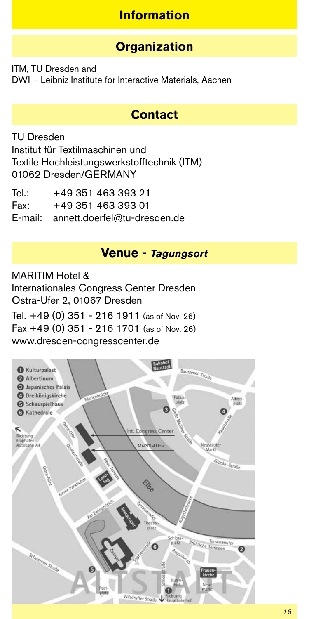## **Information**

## **Organization**

ITM, TU Dresden and DWI – Leibniz Institute for Interactive Materials, Aachen

## **Contact**

TU Dresden Institut für Textilmaschinen und Textile Hochleistungswerkstofftechnik (ITM) 01062 Dresden/GERMANY

Tel.: +49 351 463 393 21<br>Fax: +49 351 463 393 01 Fax: +49 351 463 393 01 E-mail: annett.doerfel@tu-dresden.de

#### **Venue -** *Tagungsort*

MARITIM Hotel &

Internationales Congress Center Dresden Ostra-Ufer 2, 01067 Dresden

Tel. +49 (0) 351 - 216 1911 (as of Nov. 26) Fax +49 (0) 351 - 216 1701 (as of Nov. 26) www.dresden-congresscenter.de

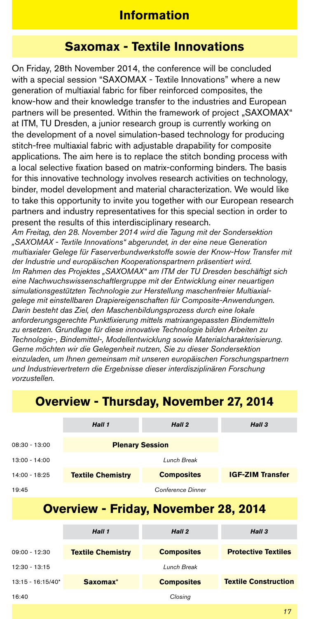### **Information**

### **Saxomax - Textile Innovations**

On Friday, 28th November 2014, the conference will be concluded with a special session "SAXOMAX - Textile Innovations" where a new generation of multiaxial fabric for fiber reinforced composites, the know-how and their knowledge transfer to the industries and European partners will be presented. Within the framework of project "SAXOMAX" at ITM, TU Dresden, a junior research group is currently working on the development of a novel simulation-based technology for producing stitch-free multiaxial fabric with adjustable drapability for composite applications. The aim here is to replace the stitch bonding process with a local selective fixation based on matrix-conforming binders. The basis for this innovative technology involves research activities on technology, binder, model development and material characterization. We would like to take this opportunity to invite you together with our European research partners and industry representatives for this special section in order to present the results of this interdisciplinary research.

*Am Freitag, den 28. November 2014 wird die Tagung mit der Sondersektion "SAXOMAX - Textile Innovations" abgerundet, in der eine neue Generation multiaxialer Gelege für Faserverbundwerkstoffe sowie der Know-How Transfer mit der Industrie und europäischen Kooperationspartnern präsentiert wird. Im Rahmen des Projektes "SAXOMAX" am ITM der TU Dresden beschäftigt sich eine Nachwuchswissenschaftlergruppe mit der Entwicklung einer neuartigen simulationsgestützten Technologie zur Herstellung maschenfreier Multiaxialgelege mit einstellbaren Drapiereigenschaften für Composite-Anwendungen. Darin besteht das Ziel, den Maschenbildungsprozess durch eine lokale anforderungsgerechte Punktfixierung mittels matrixangepassten Bindemitteln zu ersetzen. Grundlage für diese innovative Technologie bilden Arbeiten zu Technologie-, Bindemittel-, Modellentwicklung sowie Materialcharakterisierung. Gerne möchten wir die Gelegenheit nutzen, Sie zu dieser Sondersektion einzuladen, um Ihnen gemeinsam mit unseren europäischen Forschungspartnern und Industrievertretern die Ergebnisse dieser interdisziplinären Forschung vorzustellen.* 

## *Hall 1 Hall 2 Hall 3* 08:30 - 13:00 **Plenary Session** 13:00 - 14:00 *Lunch Break* 14:00 - 18:25 **Textile Chemistry Composites IGF-ZIM Transfer** 19:45 *Conference Dinner*

## **Overview - Thursday, November 27, 2014**

## **Overview - Friday, November 28, 2014**

|                     | Hall 1                   | Hall 2            | Hall <sub>3</sub>           |
|---------------------|--------------------------|-------------------|-----------------------------|
| $09:00 - 12:30$     | <b>Textile Chemistry</b> | <b>Composites</b> | <b>Protective Textiles</b>  |
| $12:30 - 13:15$     |                          | Lunch Break       |                             |
| $13:15 - 16:15/40*$ | Saxomax*                 | <b>Composites</b> | <b>Textile Construction</b> |
| 16:40               |                          | Closing           |                             |